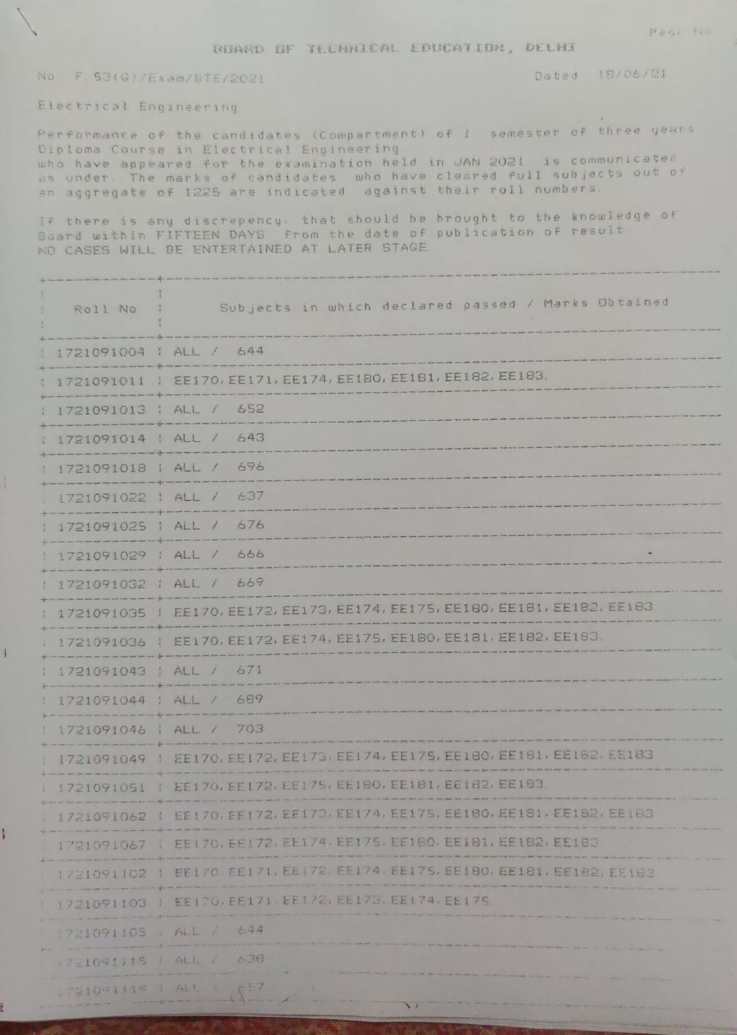## No. F. 53(G)/Exam/BTE/2021

Dated 18/06/21

## Electrical Engineering

 $\mathbf{I}$ 

 $\frac{1}{3}$ 

Performance of the candidates (Compartment) of I semester of three years Diploma Course in Electrical Engineering who have appeared for the examination held in JAN 2021 is communicated as under. The marks of candidates who have cleared full subjects out of an aggregate of 1225 are indicated against their roll numbers.

If there is any discrepency, that should be brought to the knowledge of Board within FIFTEEN DAYS from the date of publication of result. NO CASES WILL BE ENTERTAINED AT LATER STAGE.

| Roll No<br>$\mathbb{R}$      | Subjects in which declared passed / Marks Obtained                                                                                                                                                                                                                                                                                                                                                                                                                                                |
|------------------------------|---------------------------------------------------------------------------------------------------------------------------------------------------------------------------------------------------------------------------------------------------------------------------------------------------------------------------------------------------------------------------------------------------------------------------------------------------------------------------------------------------|
| 1721091004   ALL / 644       |                                                                                                                                                                                                                                                                                                                                                                                                                                                                                                   |
|                              | 1721091011   EE170, EE171, EE174, EE180, EE181, EE182, EE183.                                                                                                                                                                                                                                                                                                                                                                                                                                     |
| 1721091013   ALL / 652       |                                                                                                                                                                                                                                                                                                                                                                                                                                                                                                   |
| 1721091014   ALL / 643       |                                                                                                                                                                                                                                                                                                                                                                                                                                                                                                   |
| 1721091018   ALL / 696       |                                                                                                                                                                                                                                                                                                                                                                                                                                                                                                   |
| 1721091022   ALL / 637       |                                                                                                                                                                                                                                                                                                                                                                                                                                                                                                   |
| : 1721091025 : ALL / 676     |                                                                                                                                                                                                                                                                                                                                                                                                                                                                                                   |
| 1721091029   ALL / 666       |                                                                                                                                                                                                                                                                                                                                                                                                                                                                                                   |
| 1 1721091032   ALL / 669     |                                                                                                                                                                                                                                                                                                                                                                                                                                                                                                   |
|                              | 1721091035   EE170, EE172, EE173, EE174, EE175, EE180, EE181, EE182, EE183                                                                                                                                                                                                                                                                                                                                                                                                                        |
|                              | 1721091036   EE170, EE172, EE174, EE175, EE180, EE181, EE182, EE183.                                                                                                                                                                                                                                                                                                                                                                                                                              |
| $: 1721091043$ $:$ ALL / 671 |                                                                                                                                                                                                                                                                                                                                                                                                                                                                                                   |
| : 1721091044 : ALL / 689     |                                                                                                                                                                                                                                                                                                                                                                                                                                                                                                   |
| 1 1721091046   ALL / 703     |                                                                                                                                                                                                                                                                                                                                                                                                                                                                                                   |
|                              | 1721091049   EE170, EE172, EE173, EE174, EE175, EE180, EE181, EE182, EE183                                                                                                                                                                                                                                                                                                                                                                                                                        |
|                              | 1721091051   EE170, EE172, EE175, EE180, EE181, EE182, EE183                                                                                                                                                                                                                                                                                                                                                                                                                                      |
|                              | 1721091062   EE170, EE172, EE173, EE174, EE175, EE180, EE181, EE182, EE183                                                                                                                                                                                                                                                                                                                                                                                                                        |
|                              | 1721091067   EE170, EE172, EE174, EE175, EE180, EE181, EE182, EE183                                                                                                                                                                                                                                                                                                                                                                                                                               |
|                              | 1721091102   EE170 EE171, EE172, EE174 EE175, EE180, EE181, EE182, EE183                                                                                                                                                                                                                                                                                                                                                                                                                          |
|                              | 1721091103   EE170, EE171, EE172, EE173, EE174, EE175                                                                                                                                                                                                                                                                                                                                                                                                                                             |
|                              | 1721091105 . ALL / 644                                                                                                                                                                                                                                                                                                                                                                                                                                                                            |
| .721091115 : ALL /           | 638                                                                                                                                                                                                                                                                                                                                                                                                                                                                                               |
| :721091115 ! ALL / 657       | $\begin{tabular}{c} \multicolumn{1}{c} {\textbf{a}} & \multicolumn{1}{c} {\textbf{b}} \\ \multicolumn{1}{c} {\textbf{a}} & \multicolumn{1}{c} {\textbf{b}} \\ \multicolumn{1}{c} {\textbf{a}} & \multicolumn{1}{c} {\textbf{b}} \\ \multicolumn{1}{c} {\textbf{a}} & \multicolumn{1}{c} {\textbf{b}} \\ \multicolumn{1}{c} {\textbf{a}} & \multicolumn{1}{c} {\textbf{b}} \\ \multicolumn{1}{c} {\textbf{a}} & \multicolumn{1}{c} {\textbf{b}} \\ \multicolumn{1}{c} {\textbf{a}} & \multicolumn$ |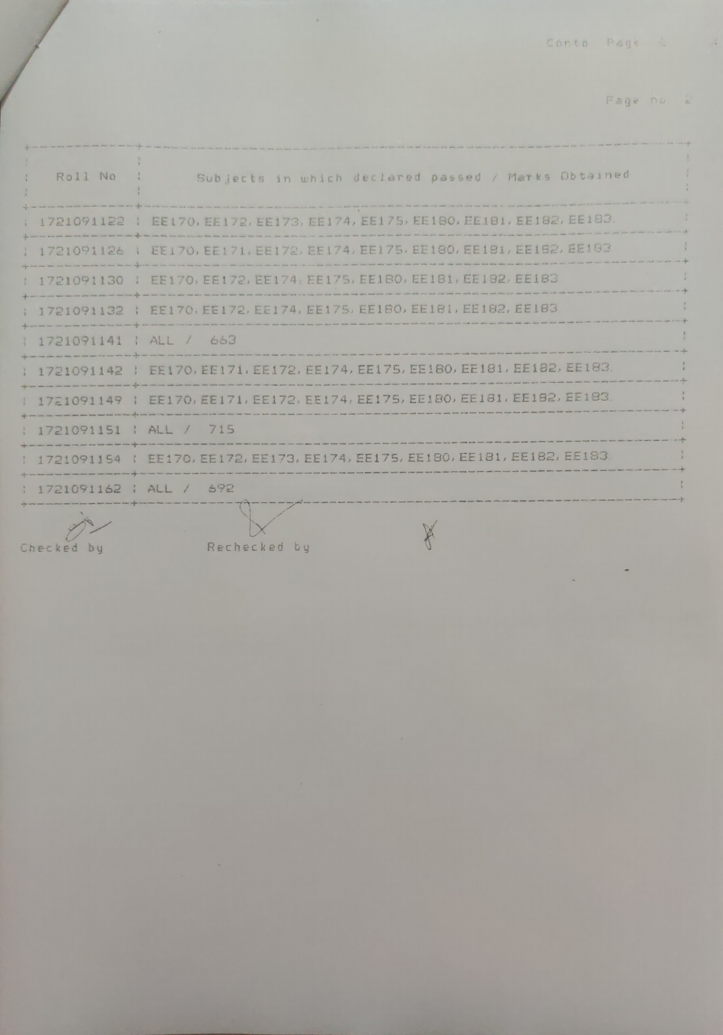$\overline{a}$ 

Page no. E

| : Roll No                                                                                           | Subjects in which declared passed / Marks Obtained                            |
|-----------------------------------------------------------------------------------------------------|-------------------------------------------------------------------------------|
|                                                                                                     | ; 1721091122 ; EE170, EE172, EE173, EE174, EE175, EE180, EE181, EE182, EE183. |
|                                                                                                     | 1721091126   EE170, EE171, EE172, EE174, EE175, EE180, EE181, EE182, EE183    |
|                                                                                                     | : 1721091130 : EE170, EE172, EE174, EE175, EE180, EE181, EE182, EE183         |
| the price water class to be about them about the same cold and the same space and the               | ; 1721091132 ; EE170, EE172, EE174, EE175, EE180, EE181, EE182, EE183         |
| 1 1721091141   ALL / 663                                                                            |                                                                               |
|                                                                                                     | 1 1721091142   EE170, EE171, EE172, EE174, EE175, EE180, EE181, EE182, EE183. |
| the policies are the contract them are the contract the contract of the contract of the contract of | 1721091149   EE170, EE171, EE172, EE174, EE175, EE180, EE181, EE182, EE183.   |
| : 1721091151 : ALL / 715                                                                            |                                                                               |
|                                                                                                     | : 1721091154 ; EE170, EE172, EE173, EE174, EE175, EE180, EE181, EE182, EE183. |
| : 1721091162 ; ALL / 692                                                                            |                                                                               |
| Checked by                                                                                          | Rechecked by                                                                  |

 $\epsilon$ 

Checked by

Rechecked by